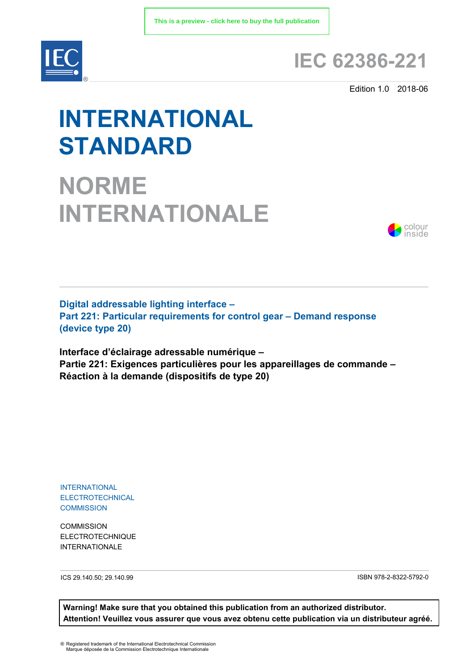

# **IEC 62386-221**

Edition 1.0 2018-06

# **INTERNATIONAL STANDARD**

**NORME INTERNATIONALE**



**Digital addressable lighting interface – Part 221: Particular requirements for control gear – Demand response (device type 20)** 

**Interface d'éclairage adressable numérique – Partie 221: Exigences particulières pour les appareillages de commande – Réaction à la demande (dispositifs de type 20)** 

INTERNATIONAL ELECTROTECHNICAL **COMMISSION** 

**COMMISSION** ELECTROTECHNIQUE INTERNATIONALE

ICS 29.140.50; 29.140.99 ISBN 978-2-8322-5792-0

**Warning! Make sure that you obtained this publication from an authorized distributor. Attention! Veuillez vous assurer que vous avez obtenu cette publication via un distributeur agréé.**

® Registered trademark of the International Electrotechnical Commission Marque déposée de la Commission Electrotechnique Internationale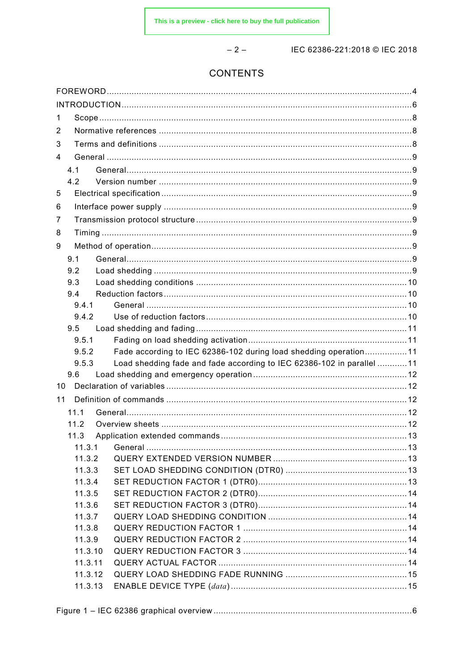$-2-$ 

IEC 62386-221:2018 © IEC 2018

# CONTENTS

| 1                |                                                                       |  |
|------------------|-----------------------------------------------------------------------|--|
| 2                |                                                                       |  |
| 3                |                                                                       |  |
| 4                |                                                                       |  |
| 4.1              |                                                                       |  |
| 4.2              |                                                                       |  |
| 5                |                                                                       |  |
| 6                |                                                                       |  |
| 7                |                                                                       |  |
| 8                |                                                                       |  |
| 9                |                                                                       |  |
| 9.1              |                                                                       |  |
| 9.2              |                                                                       |  |
| 9.3              |                                                                       |  |
| 9.4              |                                                                       |  |
| 9.4.1            |                                                                       |  |
| 9.4.2            |                                                                       |  |
| 9.5              |                                                                       |  |
| 9.5.1            |                                                                       |  |
| 9.5.2            | Fade according to IEC 62386-102 during load shedding operation11      |  |
| 9.5.3            | Load shedding fade and fade according to IEC 62386-102 in parallel 11 |  |
| 9.6              |                                                                       |  |
| 10               |                                                                       |  |
| 11               |                                                                       |  |
| 11.1             |                                                                       |  |
| 112              |                                                                       |  |
| 11.3             |                                                                       |  |
| 11.3.1           |                                                                       |  |
| 11.3.2           |                                                                       |  |
| 11.3.3           |                                                                       |  |
| 11.3.4           |                                                                       |  |
| 11.3.5<br>11.3.6 |                                                                       |  |
| 11.3.7           |                                                                       |  |
| 11.3.8           |                                                                       |  |
| 11.3.9           |                                                                       |  |
| 11.3.10          |                                                                       |  |
| 11.3.11          |                                                                       |  |
| 11.3.12          |                                                                       |  |
| 11.3.13          |                                                                       |  |
|                  |                                                                       |  |

|  | Figure 1 – IEC 62386 graphical overview……………………………………………………………………….6 |
|--|----------------------------------------------------------------------|
|--|----------------------------------------------------------------------|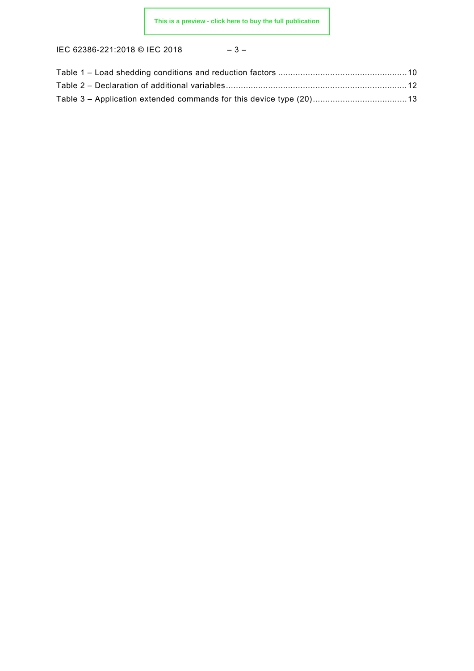IEC 62386-221:2018 © IEC 2018 – 3 –

| ⌒<br>J |
|--------|
|--------|

| Table 3 – Application extended commands for this device type (20) 13 |  |
|----------------------------------------------------------------------|--|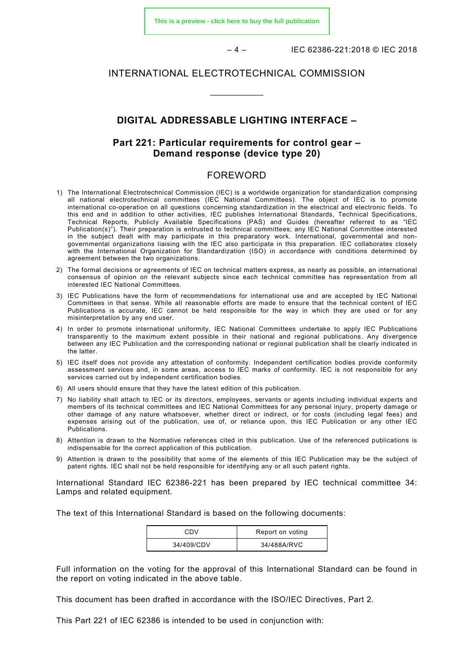**[This is a preview - click here to buy the full publication](https://webstore.iec.ch/publication/28898&preview)**

– 4 – IEC 62386-221:2018 © IEC 2018

#### INTERNATIONAL ELECTROTECHNICAL COMMISSION

\_\_\_\_\_\_\_\_\_\_\_\_

#### **DIGITAL ADDRESSABLE LIGHTING INTERFACE –**

# **Part 221: Particular requirements for control gear – Demand response (device type 20)**

# FOREWORD

- <span id="page-3-0"></span>1) The International Electrotechnical Commission (IEC) is a worldwide organization for standardization comprising all national electrotechnical committees (IEC National Committees). The object of IEC is to promote international co-operation on all questions concerning standardization in the electrical and electronic fields. To this end and in addition to other activities, IEC publishes International Standards, Technical Specifications, Technical Reports, Publicly Available Specifications (PAS) and Guides (hereafter referred to as "IEC Publication(s)"). Their preparation is entrusted to technical committees; any IEC National Committee interested in the subject dealt with may participate in this preparatory work. International, governmental and nongovernmental organizations liaising with the IEC also participate in this preparation. IEC collaborates closely with the International Organization for Standardization (ISO) in accordance with conditions determined by agreement between the two organizations.
- 2) The formal decisions or agreements of IEC on technical matters express, as nearly as possible, an international consensus of opinion on the relevant subjects since each technical committee has representation from all interested IEC National Committees.
- 3) IEC Publications have the form of recommendations for international use and are accepted by IEC National Committees in that sense. While all reasonable efforts are made to ensure that the technical content of IEC Publications is accurate, IEC cannot be held responsible for the way in which they are used or for any misinterpretation by any end user.
- 4) In order to promote international uniformity, IEC National Committees undertake to apply IEC Publications transparently to the maximum extent possible in their national and regional publications. Any divergence between any IEC Publication and the corresponding national or regional publication shall be clearly indicated in the latter.
- 5) IEC itself does not provide any attestation of conformity. Independent certification bodies provide conformity assessment services and, in some areas, access to IEC marks of conformity. IEC is not responsible for any services carried out by independent certification bodies.
- 6) All users should ensure that they have the latest edition of this publication.
- 7) No liability shall attach to IEC or its directors, employees, servants or agents including individual experts and members of its technical committees and IEC National Committees for any personal injury, property damage or other damage of any nature whatsoever, whether direct or indirect, or for costs (including legal fees) and expenses arising out of the publication, use of, or reliance upon, this IEC Publication or any other IEC Publications.
- 8) Attention is drawn to the Normative references cited in this publication. Use of the referenced publications is indispensable for the correct application of this publication.
- 9) Attention is drawn to the possibility that some of the elements of this IEC Publication may be the subject of patent rights. IEC shall not be held responsible for identifying any or all such patent rights.

International Standard IEC 62386-221 has been prepared by IEC technical committee 34: Lamps and related equipment.

The text of this International Standard is based on the following documents:

| CDV        | Report on voting |
|------------|------------------|
| 34/409/CDV | 34/488A/RVC      |

Full information on the voting for the approval of this International Standard can be found in the report on voting indicated in the above table.

This document has been drafted in accordance with the ISO/IEC Directives, Part 2.

This Part 221 of IEC 62386 is intended to be used in conjunction with: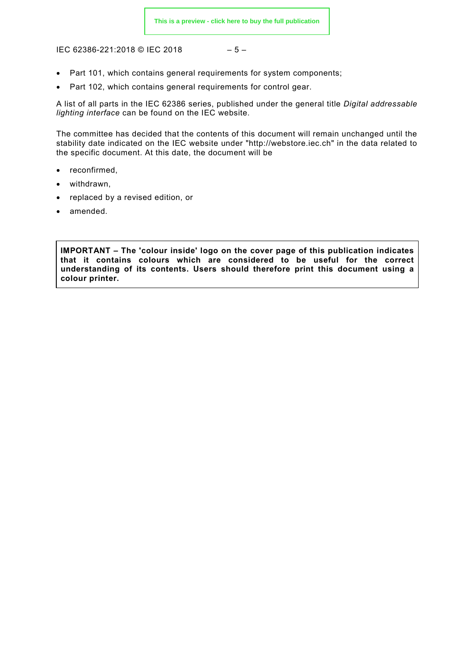IEC 62386-221:2018 © IEC 2018

$$
-5-
$$

- Part 101, which contains general requirements for system components;
- Part 102, which contains general requirements for control gear.

A list of all parts in the IEC 62386 series, published under the general title *Digital addressable lighting interface* can be found on the IEC website.

The committee has decided that the contents of this document will remain unchanged until the stability date indicated on the IEC website under "http://webstore.iec.ch" in the data related to the specific document. At this date, the document will be

- reconfirmed,
- withdrawn,
- replaced by a revised edition, or
- amended.

<span id="page-4-0"></span>**IMPORTANT – The 'colour inside' logo on the cover page of this publication indicates that it contains colours which are considered to be useful for the correct understanding of its contents. Users should therefore print this document using a colour printer.**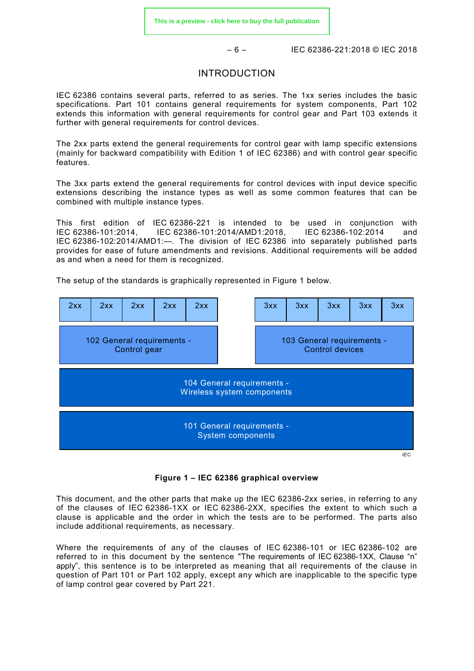– 6 – IEC 62386-221:2018 © IEC 2018

#### INTRODUCTION

IEC 62386 contains several parts, referred to as series. The 1xx series includes the basic specifications. Part 101 contains general requirements for system components, Part 102 extends this information with general requirements for control gear and Part 103 extends it further with general requirements for control devices.

The 2xx parts extend the general requirements for control gear with lamp specific extensions (mainly for backward compatibility with Edition 1 of IEC 62386) and with control gear specific features.

The 3xx parts extend the general requirements for control devices with input device specific extensions describing the instance types as well as some common features that can be combined with multiple instance types.

This first edition of IEC 62386-221 is intended to be used in conjunction with IEC 62386-101:2014, IEC 62386-101:2014/AMD1:2018, IEC 62386-102:2014 and IEC 62386-102:2014/AMD1:—. The division of IEC 62386 into separately published parts provides for ease of future amendments and revisions. Additional requirements will be added as and when a need for them is recognized.

The setup of the standards is graphically represented in [Figure 1](#page-5-0) below.



**Figure 1 – IEC 62386 graphical overview**

<span id="page-5-0"></span>This document, and the other parts that make up the IEC 62386-2xx series, in referring to any of the clauses of IEC 62386-1XX or IEC 62386-2XX, specifies the extent to which such a clause is applicable and the order in which the tests are to be performed. The parts also include additional requirements, as necessary.

Where the requirements of any of the clauses of IEC 62386-101 or IEC 62386-102 are referred to in this document by the sentence "The requirements of IEC 62386-1XX, Clause "n" apply", this sentence is to be interpreted as meaning that all requirements of the clause in question of Part 101 or Part 102 apply, except any which are inapplicable to the specific type of lamp control gear covered by Part 221.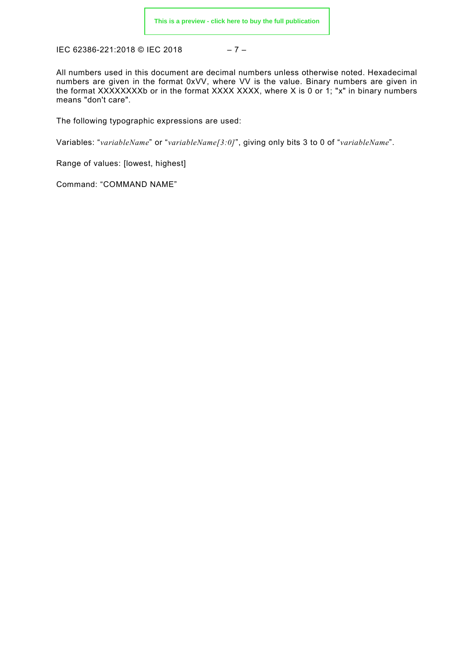IEC 62386-221:2018 © IEC 2018 – 7 –

All numbers used in this document are decimal numbers unless otherwise noted. Hexadecimal numbers are given in the format 0xVV, where VV is the value. Binary numbers are given in the format XXXXXXXXb or in the format XXXX XXXX, where X is 0 or 1; "x" in binary numbers means "don't care".

The following typographic expressions are used:

Variables: "*variableName*" or "*variableName[3:0]*", giving only bits 3 to 0 of "*variableName*".

Range of values: [lowest, highest]

Command: "COMMAND NAME"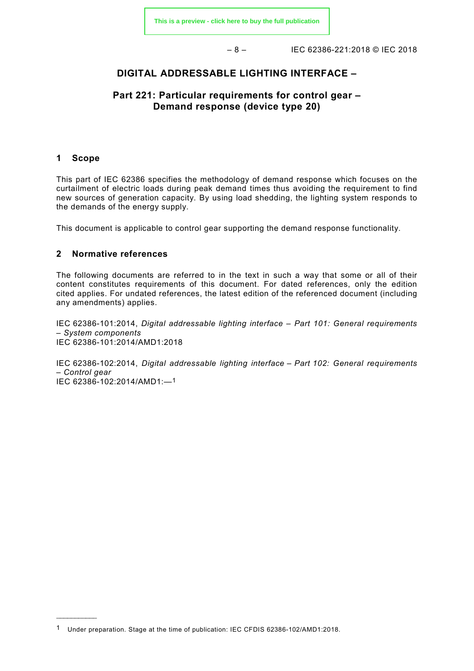– 8 – IEC 62386-221:2018 © IEC 2018

# **DIGITAL ADDRESSABLE LIGHTING INTERFACE –**

# **Part 221: Particular requirements for control gear – Demand response (device type 20)**

#### <span id="page-7-0"></span>**1 Scope**

\_\_\_\_\_\_\_\_\_\_\_

This part of IEC 62386 specifies the methodology of demand response which focuses on the curtailment of electric loads during peak demand times thus avoiding the requirement to find new sources of generation capacity. By using load shedding, the lighting system responds to the demands of the energy supply.

This document is applicable to control gear supporting the demand response functionality.

#### <span id="page-7-1"></span>**2 Normative references**

The following documents are referred to in the text in such a way that some or all of their content constitutes requirements of this document. For dated references, only the edition cited applies. For undated references, the latest edition of the referenced document (including any amendments) applies.

IEC 62386-101:2014, *Digital addressable lighting interface – Part 101: General requirements – System components* IEC 62386-101:2014/AMD1:2018

<span id="page-7-2"></span>IEC 62386-102:2014, *Digital addressable lighting interface – Part 102: General requirements – Control gear* IEC 62386-102:2014/AMD1:—[1](#page-7-3)

<span id="page-7-3"></span><sup>1</sup> Under preparation. Stage at the time of publication: IEC CFDIS 62386-102/AMD1:2018.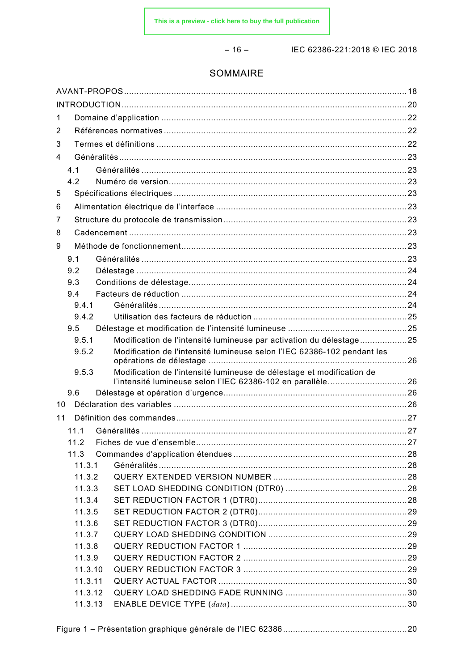$-16-$ 

IEC 62386-221:2018 © IEC 2018

#### SOMMAIRE

| $\mathbf 1$ |                    |                                                                                                                                     |  |
|-------------|--------------------|-------------------------------------------------------------------------------------------------------------------------------------|--|
| 2           |                    |                                                                                                                                     |  |
| 3           |                    |                                                                                                                                     |  |
| 4           |                    |                                                                                                                                     |  |
|             | 4.1                |                                                                                                                                     |  |
|             | 4.2                |                                                                                                                                     |  |
| 5           |                    |                                                                                                                                     |  |
| 6           |                    |                                                                                                                                     |  |
| 7           |                    |                                                                                                                                     |  |
| 8           |                    |                                                                                                                                     |  |
| 9           |                    |                                                                                                                                     |  |
|             | 9.1                |                                                                                                                                     |  |
|             | 9.2                |                                                                                                                                     |  |
|             | 9.3                |                                                                                                                                     |  |
|             | 9.4                |                                                                                                                                     |  |
|             | 9.4.1              |                                                                                                                                     |  |
|             | 9.4.2              |                                                                                                                                     |  |
|             | 9.5                |                                                                                                                                     |  |
|             | 9.5.1              | Modification de l'intensité lumineuse par activation du délestage25                                                                 |  |
|             | 9.5.2              | Modification de l'intensité lumineuse selon l'IEC 62386-102 pendant les                                                             |  |
|             | 9.5.3              | Modification de l'intensité lumineuse de délestage et modification de<br>l'intensité lumineuse selon l'IEC 62386-102 en parallèle26 |  |
|             | 9.6                |                                                                                                                                     |  |
| 10          |                    |                                                                                                                                     |  |
| 11          |                    |                                                                                                                                     |  |
|             | 11.1               |                                                                                                                                     |  |
|             | 11.2               |                                                                                                                                     |  |
|             | 11.3               |                                                                                                                                     |  |
|             | 11.3.1             |                                                                                                                                     |  |
|             | 11.3.2             |                                                                                                                                     |  |
|             | 11.3.3             |                                                                                                                                     |  |
|             | 11.3.4             |                                                                                                                                     |  |
|             | 11.3.5             |                                                                                                                                     |  |
|             | 11.3.6             |                                                                                                                                     |  |
|             | 11.3.7             |                                                                                                                                     |  |
|             | 11.3.8             |                                                                                                                                     |  |
|             | 11.3.9             |                                                                                                                                     |  |
|             | 11.3.10<br>11.3.11 |                                                                                                                                     |  |
|             | 11.3.12            |                                                                                                                                     |  |
|             | 11.3.13            |                                                                                                                                     |  |
|             |                    |                                                                                                                                     |  |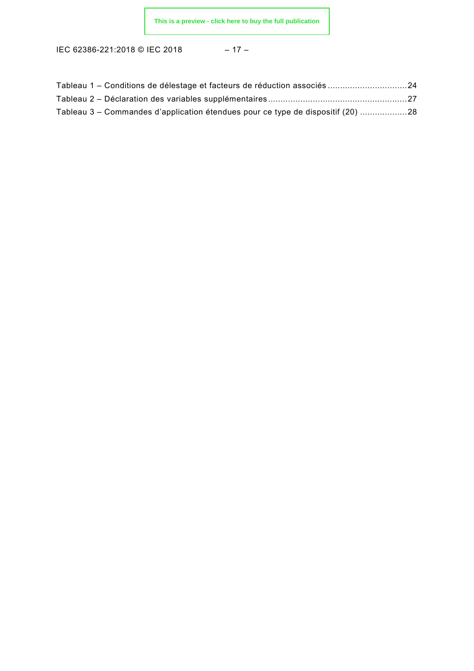IEC 62386-221:2018 © IEC 2018 – 17 –

| Tableau 1 – Conditions de délestage et facteurs de réduction associés 24        |  |
|---------------------------------------------------------------------------------|--|
|                                                                                 |  |
| Tableau 3 – Commandes d'application étendues pour ce type de dispositif (20) 28 |  |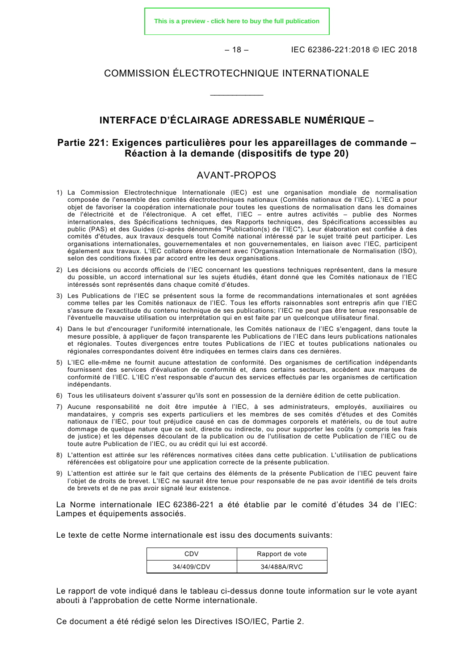**[This is a preview - click here to buy the full publication](https://webstore.iec.ch/publication/28898&preview)**

 $-18 -$  IEC 62386-221:2018 © IEC 2018

#### COMMISSION ÉLECTROTECHNIQUE INTERNATIONALE

\_\_\_\_\_\_\_\_\_\_\_\_

# **INTERFACE D'ÉCLAIRAGE ADRESSABLE NUMÉRIQUE –**

# **Partie 221: Exigences particulières pour les appareillages de commande – Réaction à la demande (dispositifs de type 20)**

#### AVANT-PROPOS

- <span id="page-10-0"></span>1) La Commission Electrotechnique Internationale (IEC) est une organisation mondiale de normalisation composée de l'ensemble des comités électrotechniques nationaux (Comités nationaux de l'IEC). L'IEC a pour objet de favoriser la coopération internationale pour toutes les questions de normalisation dans les domaines de l'électricité et de l'électronique. A cet effet, l'IEC – entre autres activités – publie des Normes internationales, des Spécifications techniques, des Rapports techniques, des Spécifications accessibles au public (PAS) et des Guides (ci-après dénommés "Publication(s) de l'IEC"). Leur élaboration est confiée à des comités d'études, aux travaux desquels tout Comité national intéressé par le sujet traité peut participer. Les organisations internationales, gouvernementales et non gouvernementales, en liaison avec l'IEC, participent également aux travaux. L'IEC collabore étroitement avec l'Organisation Internationale de Normalisation (ISO), selon des conditions fixées par accord entre les deux organisations.
- 2) Les décisions ou accords officiels de l'IEC concernant les questions techniques représentent, dans la mesure du possible, un accord international sur les sujets étudiés, étant donné que les Comités nationaux de l'IEC intéressés sont représentés dans chaque comité d'études.
- 3) Les Publications de l'IEC se présentent sous la forme de recommandations internationales et sont agréées comme telles par les Comités nationaux de l'IEC. Tous les efforts raisonnables sont entrepris afin que l'IEC s'assure de l'exactitude du contenu technique de ses publications; l'IEC ne peut pas être tenue responsable de l'éventuelle mauvaise utilisation ou interprétation qui en est faite par un quelconque utilisateur final.
- 4) Dans le but d'encourager l'uniformité internationale, les Comités nationaux de l'IEC s'engagent, dans toute la mesure possible, à appliquer de façon transparente les Publications de l'IEC dans leurs publications nationales et régionales. Toutes divergences entre toutes Publications de l'IEC et toutes publications nationales ou régionales correspondantes doivent être indiquées en termes clairs dans ces dernières.
- 5) L'IEC elle-même ne fournit aucune attestation de conformité. Des organismes de certification indépendants fournissent des services d'évaluation de conformité et, dans certains secteurs, accèdent aux marques de conformité de l'IEC. L'IEC n'est responsable d'aucun des services effectués par les organismes de certification indépendants.
- 6) Tous les utilisateurs doivent s'assurer qu'ils sont en possession de la dernière édition de cette publication.
- 7) Aucune responsabilité ne doit être imputée à l'IEC, à ses administrateurs, employés, auxiliaires ou mandataires, y compris ses experts particuliers et les membres de ses comités d'études et des Comités nationaux de l'IEC, pour tout préjudice causé en cas de dommages corporels et matériels, ou de tout autre dommage de quelque nature que ce soit, directe ou indirecte, ou pour supporter les coûts (y compris les frais de justice) et les dépenses découlant de la publication ou de l'utilisation de cette Publication de l'IEC ou de toute autre Publication de l'IEC, ou au crédit qui lui est accordé.
- 8) L'attention est attirée sur les références normatives citées dans cette publication. L'utilisation de publications référencées est obligatoire pour une application correcte de la présente publication.
- 9) L'attention est attirée sur le fait que certains des éléments de la présente Publication de l'IEC peuvent faire l'objet de droits de brevet. L'IEC ne saurait être tenue pour responsable de ne pas avoir identifié de tels droits de brevets et de ne pas avoir signalé leur existence.

La Norme internationale IEC 62386-221 a été établie par le comité d'études 34 de l'IEC: Lampes et équipements associés.

Le texte de cette Norme internationale est issu des documents suivants:

| CDV        | Rapport de vote |
|------------|-----------------|
| 34/409/CDV | 34/488A/RVC     |

Le rapport de vote indiqué dans le tableau ci-dessus donne toute information sur le vote ayant abouti à l'approbation de cette Norme internationale.

Ce document a été rédigé selon les Directives ISO/IEC, Partie 2.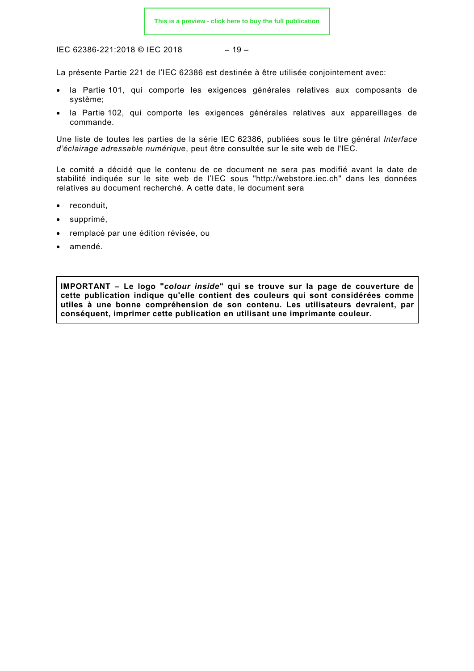IEC 62386-221:2018 © IEC 2018

$$
-19-
$$

La présente Partie 221 de l'IEC 62386 est destinée à être utilisée conjointement avec:

- la Partie 101, qui comporte les exigences générales relatives aux composants de système;
- la Partie 102, qui comporte les exigences générales relatives aux appareillages de commande.

Une liste de toutes les parties de la série IEC 62386, publiées sous le titre général *Interface d'éclairage adressable numérique*, peut être consultée sur le site web de l'IEC.

Le comité a décidé que le contenu de ce document ne sera pas modifié avant la date de stabilité indiquée sur le site web de l'IEC sous "http://webstore.iec.ch" dans les données relatives au document recherché. A cette date, le document sera

- reconduit,
- supprimé,
- remplacé par une édition révisée, ou
- amendé.

<span id="page-11-0"></span>**IMPORTANT – Le logo "***colour inside***" qui se trouve sur la page de couverture de cette publication indique qu'elle contient des couleurs qui sont considérées comme utiles à une bonne compréhension de son contenu. Les utilisateurs devraient, par conséquent, imprimer cette publication en utilisant une imprimante couleur.**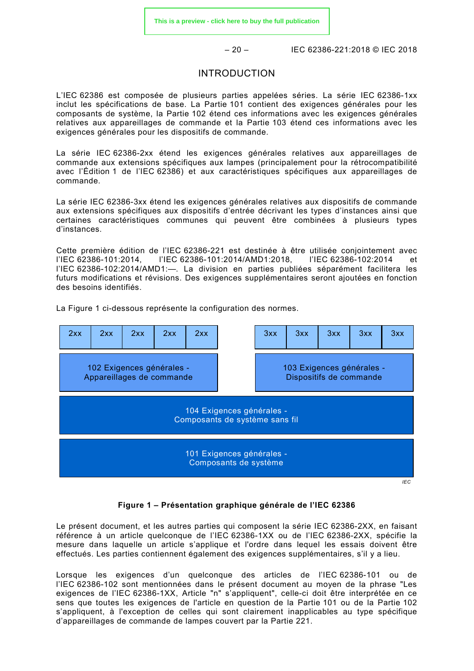$-20 -$  IEC 62386-221:2018 © IEC 2018

#### INTRODUCTION

L'IEC 62386 est composée de plusieurs parties appelées séries. La série IEC 62386-1xx inclut les spécifications de base. La Partie 101 contient des exigences générales pour les composants de système, la Partie 102 étend ces informations avec les exigences générales relatives aux appareillages de commande et la Partie 103 étend ces informations avec les exigences générales pour les dispositifs de commande.

La série IEC 62386-2xx étend les exigences générales relatives aux appareillages de commande aux extensions spécifiques aux lampes (principalement pour la rétrocompatibilité avec l'Édition 1 de l'IEC 62386) et aux caractéristiques spécifiques aux appareillages de commande.

La série IEC 62386-3xx étend les exigences générales relatives aux dispositifs de commande aux extensions spécifiques aux dispositifs d'entrée décrivant les types d'instances ainsi que certaines caractéristiques communes qui peuvent être combinées à plusieurs types d'instances.

Cette première édition de l'IEC 62386-221 est destinée à être utilisée conjointement avec l'IEC 62386-101:2014, l'IEC 62386-101:2014/AMD1:2018, l'IEC 62386-102:2014 et l'IEC 62386-102:2014/AMD1:—. La division en parties publiées séparément facilitera les futurs modifications et révisions. Des exigences supplémentaires seront ajoutées en fonction des besoins identifiés.

La [Figure 1](#page-12-0) ci-dessous représente la configuration des normes.



**Figure 1 – Présentation graphique générale de l'IEC 62386**

<span id="page-12-0"></span>Le présent document, et les autres parties qui composent la série IEC 62386-2XX, en faisant référence à un article quelconque de l'IEC 62386-1XX ou de l'IEC 62386-2XX, spécifie la mesure dans laquelle un article s'applique et l'ordre dans lequel les essais doivent être effectués. Les parties contiennent également des exigences supplémentaires, s'il y a lieu.

Lorsque les exigences d'un quelconque des articles de l'IEC 62386-101 ou de l'IEC 62386-102 sont mentionnées dans le présent document au moyen de la phrase "Les exigences de l'IEC 62386-1XX, Article "n" s'appliquent", celle-ci doit être interprétée en ce sens que toutes les exigences de l'article en question de la Partie 101 ou de la Partie 102 s'appliquent, à l'exception de celles qui sont clairement inapplicables au type spécifique d'appareillages de commande de lampes couvert par la Partie 221.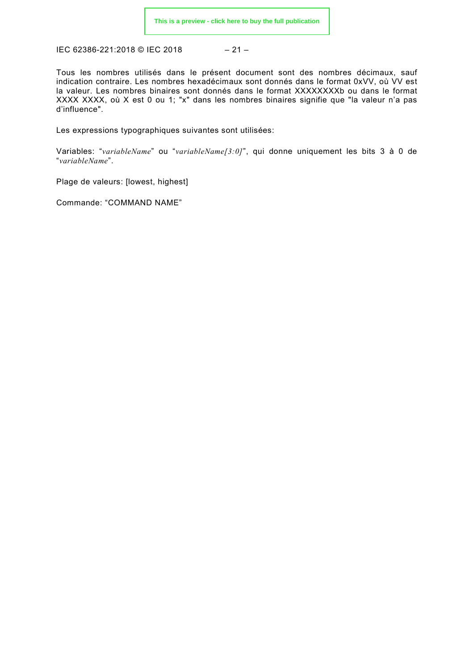IEC 62386-221:2018 © IEC 2018 – 21 –

Tous les nombres utilisés dans le présent document sont des nombres décimaux, sauf indication contraire. Les nombres hexadécimaux sont donnés dans le format 0xVV, où VV est la valeur. Les nombres binaires sont donnés dans le format XXXXXXXXb ou dans le format XXXX XXXX, où X est 0 ou 1; "x" dans les nombres binaires signifie que "la valeur n'a pas d'influence".

Les expressions typographiques suivantes sont utilisées:

Variables: "*variableName*" ou "*variableName[3:0]*", qui donne uniquement les bits 3 à 0 de "*variableName*".

Plage de valeurs: [lowest, highest]

Commande: "COMMAND NAME"